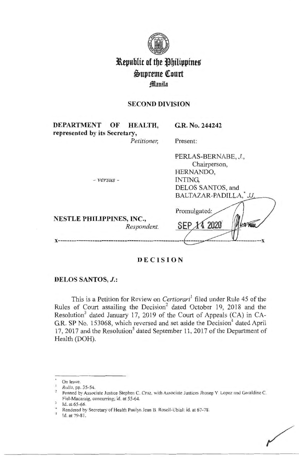

# **Republic of the Philippines**  $\mathfrak{S}$ upreme Court **fflanila**

# **SECOND DIVISION**

| DEPARTMENT OF                    |  | HEALTH,     | G.R. No. 244242       |
|----------------------------------|--|-------------|-----------------------|
| represented by its Secretary,    |  |             |                       |
|                                  |  | Petitioner, | Present:              |
|                                  |  |             | PERLAS-BERNABE, J.,   |
|                                  |  |             | Chairperson,          |
|                                  |  |             | HERNANDO,             |
| - versus -                       |  |             | <b>INTING.</b>        |
|                                  |  |             | DELOS SANTOS, and     |
|                                  |  |             | BALTAZAR-PADILLA, JJ. |
|                                  |  |             | Promulgated:          |
| <b>NESTLE PHILIPPINES, INC.,</b> |  |             |                       |
|                                  |  | Respondent. | SEP 14 2020<br>10200  |
|                                  |  |             |                       |
|                                  |  |             |                       |
|                                  |  |             |                       |

### **DECISION**

### **DELOS SANTOS, J.:**

This is a Petition for Review on *Certiorari*<sup>1</sup> filed under Rule 45 of the Rules of Court assailing the Decision<sup>2</sup> dated October 19, 2018 and the Resolution<sup>3</sup> dated January 17, 2019 of the Court of Appeals (CA) in CA-G.R. SP No. 153068, which reversed and set aside the Decision<sup>4</sup> dated April 17, 2017 and the Resolution<sup>5</sup> dated September 11, 2017 of the Department of Health (DOH).

On leave.

<sup>1</sup>*Rollo,* pp. 35-54.

Penned by Associate Justice Stephen C. Cruz, with Associate Justices Jhosep Y Lopez and Geraldine C. Fiel-Macaraig, concurring; id. at 55-64.

Id. at 65-66.

Rendered by Secretary of Health Paulyn Jean B. Rosell-Ubial; id. at 67-78. Id. at 79-81.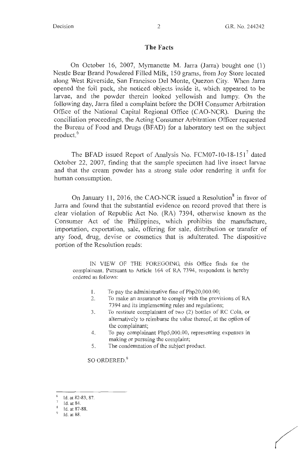#### **The Facts**

On October 16, 2007, Myrnanette M. Jarra (Jarra) bought one (1) Nestle Bear Brand Powdered Filled Milk, 150 grams, from Joy Store located along West Riverside, San Francisco Del Monte, Quezon City. When Jarra opened the foil pack, she noticed objects inside it, which appeared to be larvae, and the powder therein looked yellowish and lumpy. On the following day, Jarra filed a complaint before the DOH Consumer Arbitration Office of the National Capital Regional Office (CAO-NCR). During the conciliation proceedings, the Acting Consumer Arbitration Officer requested the Bureau of Food and Drugs (BFAD) for a laboratory test on the subject product.<sup>6</sup>

The BFAD issued Report of Analysis No. FCM07-10-18-151<sup>7</sup> dated October 22, 2007, finding that the sample specimen had live insect larvae and that the cream powder has a strong stale odor rendering it unfit for human consumption.

On January 11, 2016, the CAO-NCR issued a Resolution<sup>8</sup> in favor of Jarra and found that the substantial evidence on record proved that there is clear violation of Republic Act No. (RA) 7394, otherwise known as the Consumer Act of the Philippines, which prohibits the manufacture, importation, exportation, sale, offering for sale, distribution or transfer of any food, drug, devise or cosmetics that is adulterated. The dispositive portion of the Resolution reads:

IN VIEW OF THE FOREGOING, this Office finds for the complainant. Pursuant to Article 164 of RA 7394, respondent is hereby ordered as follows:

- I. To pay the administrative fine of Php20,000.00;
- 2. To make an assurance to comply with the provisions of RA 7394 and its implementing rules and regulations;
- 3. To restitute complainant of two (2) bottles of RC Cola, or alternatively to reimburse the value thereof, at the option of the complainant;
- 4. To pay complainant Php5,000.00, representing expenses in making or pursuing the complaint;
- 5. The condemnation of the subject product.

SO ORDERED.<sup>9</sup>

<sup>6</sup>Id. at 82-83, 87.

<sup>7</sup>Id. at 84.

<sup>8</sup> Id. at 87-88.

<sup>9</sup>Id. at 88.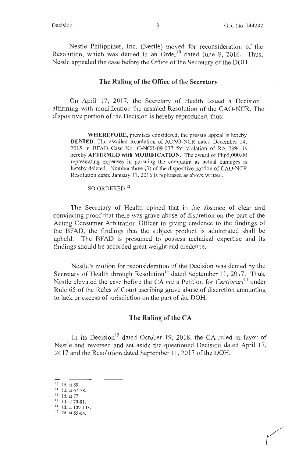Nestle Philippines, Inc. (Nestle) moved for reconsideration of the Resolution, which was denied in an Order<sup>10</sup> dated June 8, 2016. Thus, Nestle appealed the case before the Office of the Secretary of the DOH.

#### **The Ruling of the Office of the Secretary**

On April 17, 2017, the Secretary of Health issued a Decision<sup>11</sup> affirming with modification the assailed Resolution of the CAO-NCR. The dispositive portion of the Decision is hereby reproduced, thus:

**WHEREFORE,** premises considered, the present appeal is hereby **DENIED.** The assailed Resolution of ACAO-NCR dated December 14, 2015 in BFAD Case No. C-NCR-09-077 for violation of RA 7394 is hereby **AFFIRMED with MODIFICATION.** The award of Php5,000.00 representing expenses in pursuing the complaint as actual damages is hereby deleted. Number three (3) of the dispositive portion of CAO-NCR Resolution dated January 11, 2016 is rephrased as above written.

SO ORDERED.<sup>12</sup>

The Secretary of Health opined that in the absence of clear and convincing proof that there was grave abuse of discretion on the part of the Acting Consumer Arbitration Officer in giving credence to the findings of the BFAD, the findings that the subject product is adulterated shall be upheld. The BFAD is presumed to possess technical expertise and its findings should be accorded great weight and credence.

Nestle's motion for reconsideration of the Decision was denied by the Secretary of Health through Resolution<sup>13</sup> dated September 11, 2017. Thus, Nestle elevated the case before the CA *via* a Petition for *Certiorari*<sup>14</sup> under Rule 65 of the Rules of Court ascribing grave abuse of discretion amounting to lack or excess of jurisdiction on the part of the DOH.

#### **The Ruling of the CA**

In its Decision<sup>15</sup> dated October 19, 2018, the CA ruled in favor of Nestle and reversed and set aside the questioned Decision dated April 17, 2017 and the Resolution dated September 11, 2017 of the DOH.

 $10$  Id. at 89.

<sup>11</sup> Id. at 67-78.<br>
<sup>12</sup> Id. at 77.<br>
<sup>13</sup> Id. at 79-81.

 $\frac{14}{15}$  Id. at 109-133.<br>Id. at 55-64.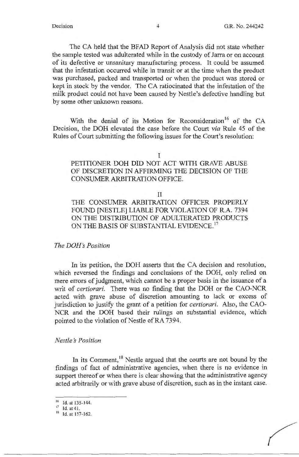The CA held that the BFAD Report of Analysis did not state whether the sample tested was adulterated while in the custody of Jarra or on account of its defective or unsanitary manufacturing process. It could be assumed that the infestation occurred while in transit or at the time when the product was purchased, packed and transported or when the product was stored or kept in stock by the vendor. The CA ratiocinated that the infestation of the milk product could not have been caused by Nestle's defective handling but by some other unknown reasons.

With the denial of its Motion for Reconsideration<sup>16</sup> of the CA Decision, the DOH elevated the case before the Court *via* Rule 45 of the Rules of Court submitting the following issues for the Court's resolution:

#### I

# PETITIONER DOH DID NOT ACT WITH GRAVE ABUSE OF DISCRETION IN AFFIRMING THE DECISION OF THE CONSUMER ARBITRATION OFFICE.

#### II

THE CONSUMER ARBITRATION OFFICER PROPERLY FOUND [NESTLE] LIABLE FOR VIOLATION OF R.A. 7394 ON THE DISTRIBUTION OF ADULTERATED PRODUCTS ON THE BASIS OF SUBSTANTIAL EVIDENCE.<sup>17</sup>

*The DOH's Position* 

In its petition, the DOH asserts that the CA decision and resolution, which reversed the findings and conclusions of the DOH, only relied on mere errors of judgment, which cannot be a proper basis in the issuance of a writ of *certiorari.* There was no finding that the DOH or the CAO-NCR acted with grave abuse of discretion amounting to lack or excess of jurisdiction to justify the grant of a petition for *certiorari.* Also, the CAO-NCR and the DOH based their rulings on substantial evidence, which pointed to the violation of Nestle of RA 7394.

#### *Nestle's Position*

In its Comment,<sup>18</sup> Nestle argued that the courts are not bound by the findings of fact of administrative agencies, when there is no evidence in support thereof or when there is clear showing that the administrative agency acted arbitrarily or with grave abuse of discretion, such as in the instant case.

 $^{16}$  Id. at 135-144.<br><sup>17</sup>Id. at 41.

<sup>&</sup>lt;sup>18</sup> Id. at 157-162.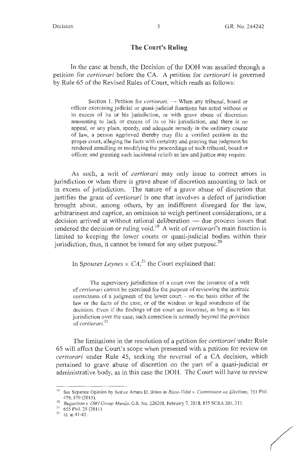*(* 

### **The Court's Ruling**

In the case at bench, the Decision of the DOH was assailed through a petition for *certiorari* before the CA. A petition for *certiorari* is governed by Rule 65 of the Revised Rules of Court, which reads as follows:

Section 1. Petition for *certiorari*. - When any tribunal, board or officer exercising judicial or quasi-judicial functions has acted without or in excess of its or his jurisdiction, or with grave abuse of discretion amounting to lack or excess of its or his jurisdiction, and there is no appeal, or any plain, speedy, and adequate remedy in the ordinary course of law, a person aggrieved thereby may file a verified petition in the proper court, alleging the facts with certainty and praying that judgment be rendered annulling or modifying the proceedings of such tribunal, board or officer, and granting such incidental reliefs as law and justice may require.

As such, a writ of *certiorari* may only issue to correct errors in jurisdiction or when there is grave abuse of discretion amounting to lack or in excess of jurisdiction. The nature of a grave abuse of discretion that justifies the grant of *certiorari* is one that involves a defect of jurisdiction brought about, among others, by an indifferent disregard for the law, arbitrariness and caprice, an omission to weigh pertinent considerations, or a decision arrived at without rational deliberation  $-$  due process issues that rendered the decision or ruling void.<sup>19</sup> A writ of *certiorari*'s main function is limited to keeping the lower courts or quasi-judicial bodies within their jurisdiction, thus, it cannot be issued for any other purpose.<sup>20</sup>

In *Spouses Leynes v.*  $CA<sub>1</sub><sup>21</sup>$  the Court explained that:

The supervisory jurisdiction of a court over the issuance of a writ of *certiorari* cannot be exercised for the purpose of reviewing the intrinsic correctness of a judgment of the lower court  $-$  on the basis either of the law or the facts of the case, or of the wisdom or legal soundness of the decision. Even if the findings of the court are incorrect, as long as it has jurisdiction over the case, such correction is normally beyond the province of *certiorari.<sup>22</sup>*

The limitations in the resolution of a petition for *certiorari* under Rule 65 will affect the Court's scope when presented with a petition for review on *certiorari* under Rule 45, seeking the reversal of a CA decision, which pertained to grave abuse of discretion on the part of a quasi-judicial or administrative body, as in this case the DOH. The Court will have to review

<sup>&</sup>lt;sup>19</sup> See Separate Opinion by Justice Arturo D. Brion in *Risos-Vidal v. Commission on Elections*, 751 Phil. 479,570 (2015). 20 *Bugaoisan v. OWi Group Manila,* G.R. No. 226208, February 7, 20 18, 855 SCRA 20 I, 213.

<sup>&</sup>lt;sup>21</sup> 655 Phil. 25 (2011).<br><sup>22</sup> Id. at 41-42.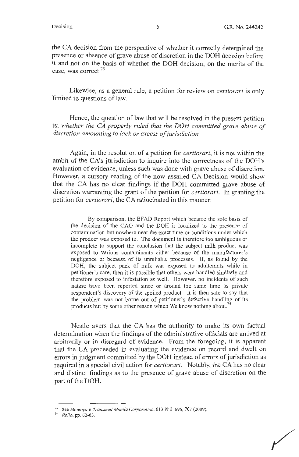the CA decision from the perspective of whether it correctly determined the presence or absence of grave abuse of discretion in the DOH decision before it and not on the basis of whether the DOH decision, on the merits of the case, was correct. 23

Likewise, as a general rule, a petition for review on *certiorari* is only limited to questions of law.

Hence, the question of law that will be resolved in the present petition is: *whether the CA properly ruled that the DOH committed grave abuse of discretion amounting to lack or excess of jurisdiction.* 

Again, in the resolution of a petition for *certiorari,* it is not within the ambit of the CA's jurisdiction to inquire into the correctness of the DOH's evaluation of evidence, unless such was done with grave abuse of discretion. However, a cursory reading of the now assailed CA Decision would show that the CA has no clear findings if the DOH committed grave abuse of discretion warranting the grant of the petition for *certiorari.* In granting the petition for *certiorari,* the CA ratiocinated in this manner:

By comparison, the BFAD Report which became the sole basis of the decision of the CAO and the DOH is localized to the presence of contamination but nowhere near the exact time or conditions under which the product was exposed to. The document is therefore too ambiguous or incomplete to support the conclusion that the subject milk product was exposed to various contaminants either because of the manufacturer's negligence or because of its unreliable processes. If, as found by the DOH, the subject pack of milk was exposed to adulterants while in petitioner's care, then it is possible that others were handled similarly and therefore exposed to infestation as well. However, no incidents of such nature have been reported since or around the same time as private respondent's discovery of the spoiled product. It is then safe to say that the problem was not borne out of petitioner's defective handling of its products but by some other reason which We know nothing about.<sup>2</sup>

Nestle avers that the CA has the authority to make its own factual determination when the findings of the administrative officials are arrived at arbitrarily or in disregard of evidence. From the foregoing, it is apparent that the CA proceeded in evaluating the evidence on record and dwelt on errors in judgment committed by the DOH instead of errors of jurisdiction as required in a special civil action for *certiorari.* Notably, the CA has no clear and distinct findings as to the presence of grave abuse of discretion on the part of the DOH.

<sup>23</sup> See *Montoya v. Transmed Manila Corporation,* 613 Phil. 696, 707 (2009). 24 *Rollo,* pp. 62-63.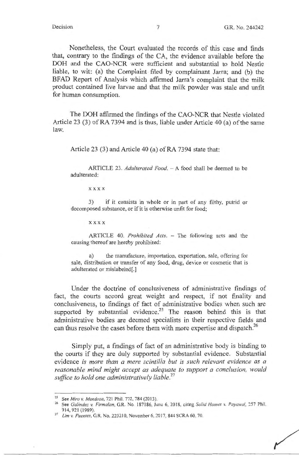/

Nonetheless, the Court evaluated the records of this case and finds that, contrary to the findings of the CA, the evidence available before the DOH and the CAO-NCR were sufficient and substantial to hold Nestle liable, to wit: (a) the Complaint filed by complainant Jarra; and (b) the BFAD Report of Analysis which affirmed Jarra's complaint that the milk product contained live larvae and that the milk powder was stale and unfit for human consumption.

The DOH affirmed the findings of the CAO-NCR that Nestle violated Article 23 (3) of RA 7394 and is thus, liable under Article 40 (a) of the same law.

Article 23 (3) and Article 40 (a) of RA 7394 state that:

ARTICLE 23. *Adulterated Food.* - A food shall be deemed to be adulterated:

**xxxx** 

3) if it consists in whole or in part of any filthy, putrid or decomposed substance, or if it is otherwise unfit for food;

**xxxx** 

ARTICLE 40. *Prohibited Acts*. - The following acts and the causing thereof are hereby prohibited:

a) the manufacture, importation, exportation, sale, offering for sale, distribution or transfer of any food, drug, device or cosmetic that is adulterated or mislabeled[.)

Under the doctrine of conclusiveness of administrative findings of fact, the courts accord great weight and respect, if not finality and conclusiveness, to findings of fact of administrative bodies when such are supported by substantial evidence.<sup>25</sup> The reason behind this is that administrative bodies are deemed specialists in their respective fields and can thus resolve the cases before them with more expertise and dispatch.<sup>26</sup>

Simply put, a findings of fact of an administrative body is binding to the courts if they are duly supported by substantial evidence. Substantial evidence *is more than a mere scintilla but is such relevant evidence as a reasonable mind might accept as adequate to support a conclusion, would suffice to hold one administratively liable. <sup>27</sup>*

<sup>&</sup>lt;sup>25</sup> See *Miro v. Mendoza*, 721 Phil. 772, 784 (2013).<br><sup>26</sup> See *Galindez v. Firmalan*, G.R. No. 187186, June 6, 2018, citing *Solid Homes v. Payawal*, 257 Phil. 914, 921 (1989).

<sup>&</sup>lt;sup>27</sup> Lim v. Fuentes, G.R. No. 223210, November 6, 2017, 844 SCRA 60, 70.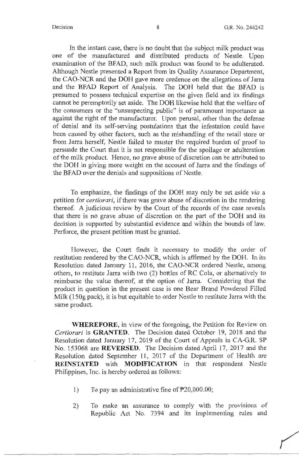In the instant case, there is no doubt that the subject milk product was one of the manufactured and distributed products of Nestle. Upon examination of the BFAD, such milk product was found to be adulterated. Although Nestle presented a Report from its Quality Assurance Department, the CAO-NCR and the DOH gave more credence on the allegations of Jarra and the BFAD Report of Analysis. The DOH held that the BFAD is presumed to possess technical expertise on the given field and its findings cannot be peremptorily set aside. The DOH likewise held that the welfare of the consumers or the "unsuspecting public" is of paramount importance as against the right of the manufacturer. Upon perusal, other than the defense of denial and its self-serving postulations that the infestation could have been caused by other factors, such as the mishandling of the retail store or from Jarra herself, Nestle failed to muster the required burden of proof to persuade the Court that it is not responsible for the spoilage or adulteration of the milk product. Hence, no grave abuse of discretion can be attributed to the DOH in giving more weight on the account of Jarra and the findings of the BFAD over the denials and suppositions of Nestle.

To emphasize, the findings of the DOH may only be set aside *via* a petition for *certiorari,* if there was grave abuse of discretion in the rendering thereof. A judicious review by the Court of the records of the case reveals that there is no grave abuse of discretion on the part of the DOH and its decision is supported by substantial evidence and within the bounds of law. Perforce, the present petition must be granted.

However, the Court finds it necessary to modify the order of restitution rendered by the CAO-NCR, which is affirmed by the DOH. In its Resolution dated January 11, 2016, the CAO-NCR ordered Nestle, among others, to restitute Jarra with two (2) bottles of RC Cola, or alternatively to reimburse the value thereof, at the option of Jarra. Considering that the product in question in the present case is one Bear Brand Powdered Filled Milk (150g pack), it is but equitable to order Nestle to restitute Jarra with the same product.

**WHEREFORE,** in view of the foregoing, the Petition for Review on *Certiorari* is **GRANTED.** The Decision dated October 19, 2018 and the Resolution dated January 17, 2019 of the Court of Appeals in CA-G.R. SP No. 153068 are **REVERSED.** The Decision dated April 17, 2017 and the Resolution dated September 11, 2017 of the Department of Health are **REINSTATED** with **MODIFICATION** in that respondent Nestle Philippines, Inc. is hereby ordered as follows:

- 1) To pay an administrative fine of P20,000.00;
- 2) To make an assurance to comply with the provisions of Republic Act No. 7394 and its implementing rules and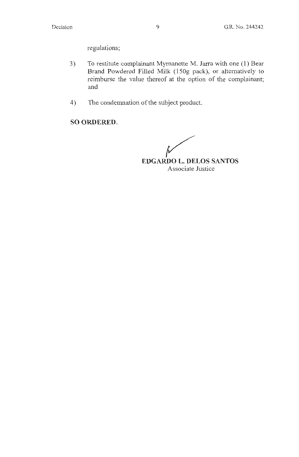regulations;

- 3) To restitute complainant Mymanette M. Jarra with one (1) Bear Brand Powdered Filled Milk (150g pack), or alternatively to reimburse the value thereof at the option of the complainant; and
- 4) The condemnation of the subject product.

# **SO ORDERED.**

**EDGARDO L. DELOS SANTOS**  Associate Justice